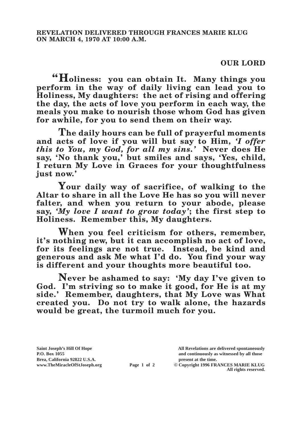## **OUR LORD**

**"Holiness: you can obtain It. Many things you perform in the way of daily living can lead you to Holiness, My daughters: the act of rising and offering the day, the acts of love you perform in each way, the meals you make to nourish those whom God has given for awhile, for you to send them on their way.**

**The daily hours can be full of prayerful moments and acts of love if you will but say to Him,** *'I offer this to You, my God, for all my sins.'* **Never does He say, 'No thank you,' but smiles and says, 'Yes, child, I return My Love in Graces for your thoughtfulness just now.'**

**Your daily way of sacrifice, of walking to the Altar to share in all the Love He has so you will never falter, and when you return to your abode, please say,** *'My love I want to grow today'***; the first step to Holiness. Remember this, My daughters.**

**When you feel criticism for others, remember, it's nothing new, but it can accomplish no act of love, for its feelings are not true. Instead, be kind and generous and ask Me what I'd do. You find your way is different and your thoughts more beautiful too.**

**Never be ashamed to say: 'My day I've given to God. I'm striving so to make it good, for He is at my side.' Remember, daughters, that My Love was What created you. Do not try to walk alone, the hazards would be great, the turmoil much for you.** 

**Brea, California 92822 U.S.A. present at the time.**<br> **present at the time.**<br> **present at the time.**<br> **Page 1 of 2** © Copyright 1996 FR.

**Saint Joseph's Hill Of Hope All Revelations are delivered spontaneously P.O. Box 1055 and continuously as witnessed by all those** 

**Page 1 of 2** © Copyright 1996 FRANCES MARIE KLUG **All rights reserved.**